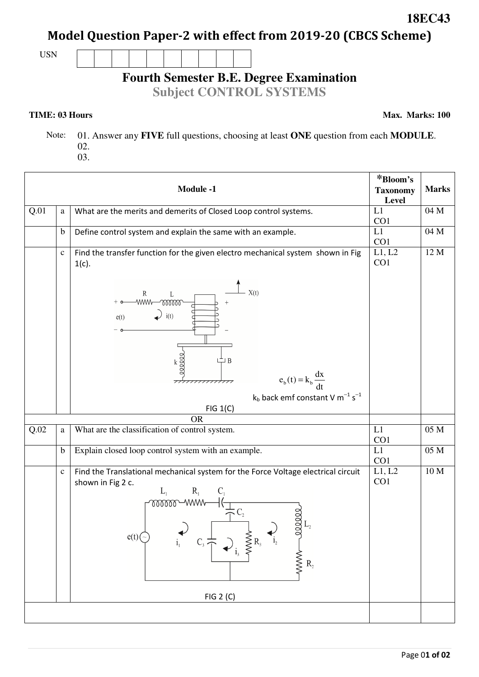**Model Question Paper-2 with effect from 2019-20 (CBCS Scheme)** 

USN



**Fourth Semester B.E. Degree Examination** 

**Subject CONTROL SYSTEMS**

## **TIME: 03 Hours**

**Max. Marks: 100**

 Note: 01. Answer any **FIVE** full questions, choosing at least **ONE** question from each **MODULE**. 02.

| ۰.<br>I<br>×<br>٠ |  |
|-------------------|--|

| Q.01<br>L1<br>What are the merits and demerits of Closed Loop control systems.<br>$\rm{a}$<br>CO1<br>L1<br>$\mathbf b$<br>Define control system and explain the same with an example.<br>CO1<br>Find the transfer function for the given electro mechanical system shown in Fig<br>L1, L2<br>$\mathbf c$<br>CO <sub>1</sub><br>$1(c)$ .<br>X(t)<br>$\mathbb{R}$<br>L<br>www—www<br>$\rightarrow$ i(t)<br>e(t)<br>$L \nightharpoonup B$<br>$e_b(t) = k_b \frac{dx}{dt}$<br>$k_b$ back emf constant V m <sup>-1</sup> s <sup>-1</sup><br>FIG 1(C)<br><b>OR</b><br>What are the classification of control system.<br>L1<br>Q.02<br>a<br>CO1<br>Explain closed loop control system with an example.<br>L1<br>$\mathbf b$<br>CO <sub>1</sub><br>L1, L2<br>Find the Translational mechanical system for the Force Voltage electrical circuit<br>$\mathbf c$<br>CO1<br>shown in Fig 2 c.<br>R <sub>1</sub><br>$L_{1}$<br>$\frac{1}{\tau}C_{2}$<br>$\begin{array}{c}\n00000 \\ L_{2}\n\end{array}$<br>e(t)<br>i <sub>2</sub><br>$\sum_{i=1}^{n} R_i$<br>$i_{1}$<br>$\begin{matrix} & \nwarrow \ & \nwarrow \ & \nwarrow \end{matrix}$<br>$R_{2}$<br>FIG 2 (C) | <b>Module -1</b> | *Bloom's<br><b>Taxonomy</b><br>Level | <b>Marks</b>    |
|-------------------------------------------------------------------------------------------------------------------------------------------------------------------------------------------------------------------------------------------------------------------------------------------------------------------------------------------------------------------------------------------------------------------------------------------------------------------------------------------------------------------------------------------------------------------------------------------------------------------------------------------------------------------------------------------------------------------------------------------------------------------------------------------------------------------------------------------------------------------------------------------------------------------------------------------------------------------------------------------------------------------------------------------------------------------------------------------------------------------------------------------------------|------------------|--------------------------------------|-----------------|
|                                                                                                                                                                                                                                                                                                                                                                                                                                                                                                                                                                                                                                                                                                                                                                                                                                                                                                                                                                                                                                                                                                                                                       |                  |                                      | 04 M            |
|                                                                                                                                                                                                                                                                                                                                                                                                                                                                                                                                                                                                                                                                                                                                                                                                                                                                                                                                                                                                                                                                                                                                                       |                  |                                      | 04 M            |
|                                                                                                                                                                                                                                                                                                                                                                                                                                                                                                                                                                                                                                                                                                                                                                                                                                                                                                                                                                                                                                                                                                                                                       |                  |                                      | 12 M            |
|                                                                                                                                                                                                                                                                                                                                                                                                                                                                                                                                                                                                                                                                                                                                                                                                                                                                                                                                                                                                                                                                                                                                                       |                  |                                      |                 |
|                                                                                                                                                                                                                                                                                                                                                                                                                                                                                                                                                                                                                                                                                                                                                                                                                                                                                                                                                                                                                                                                                                                                                       |                  |                                      |                 |
|                                                                                                                                                                                                                                                                                                                                                                                                                                                                                                                                                                                                                                                                                                                                                                                                                                                                                                                                                                                                                                                                                                                                                       |                  |                                      | 05 M            |
|                                                                                                                                                                                                                                                                                                                                                                                                                                                                                                                                                                                                                                                                                                                                                                                                                                                                                                                                                                                                                                                                                                                                                       |                  |                                      | $05\,\rm M$     |
|                                                                                                                                                                                                                                                                                                                                                                                                                                                                                                                                                                                                                                                                                                                                                                                                                                                                                                                                                                                                                                                                                                                                                       |                  |                                      | 10 <sub>M</sub> |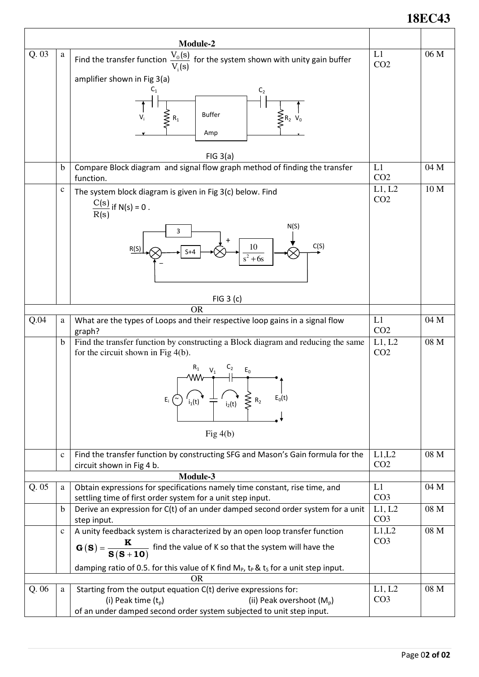|      |              | Module-2                                                                                            |                           |      |
|------|--------------|-----------------------------------------------------------------------------------------------------|---------------------------|------|
| Q.03 | a            | $V_0(s)$                                                                                            | L1                        | 06 M |
|      |              | Find the transfer function $\frac{1}{x}$<br>for the system shown with unity gain buffer<br>$V_i(s)$ | CO <sub>2</sub>           |      |
|      |              | amplifier shown in Fig 3(a)                                                                         |                           |      |
|      |              | $\mathsf{C}_1$<br>$C_2$                                                                             |                           |      |
|      |              |                                                                                                     |                           |      |
|      |              | $\sum_{k=1}^{n}$<br><b>Buffer</b>                                                                   |                           |      |
|      |              |                                                                                                     |                           |      |
|      |              | Amp                                                                                                 |                           |      |
|      |              | FIG 3(a)                                                                                            |                           |      |
|      | b            | Compare Block diagram and signal flow graph method of finding the transfer                          | L1                        | 04 M |
|      |              | function.                                                                                           | CO <sub>2</sub>           |      |
|      | $\mathbf{C}$ | The system block diagram is given in Fig 3(c) below. Find                                           | L1, L2                    | 10 M |
|      |              | $\frac{C(s)}{s}$ if N(s) = 0.                                                                       | CO <sub>2</sub>           |      |
|      |              | R(s)                                                                                                |                           |      |
|      |              | N(S)                                                                                                |                           |      |
|      |              |                                                                                                     |                           |      |
|      |              | C(S)<br>10<br>R(S)                                                                                  |                           |      |
|      |              | $\overline{s^2}$ + 6s                                                                               |                           |      |
|      |              |                                                                                                     |                           |      |
|      |              |                                                                                                     |                           |      |
|      |              | FIG 3 (c)                                                                                           |                           |      |
|      |              | <b>OR</b>                                                                                           |                           |      |
| Q.04 | a            | What are the types of Loops and their respective loop gains in a signal flow                        | L1<br>CO <sub>2</sub>     | 04 M |
|      | $\mathbf b$  | graph?<br>Find the transfer function by constructing a Block diagram and reducing the same          | L1, L2                    | 08 M |
|      |              | for the circuit shown in Fig $4(b)$ .                                                               | CO <sub>2</sub>           |      |
|      |              |                                                                                                     |                           |      |
|      |              |                                                                                                     |                           |      |
|      |              |                                                                                                     |                           |      |
|      |              | $E_0(t)$                                                                                            |                           |      |
|      |              | $E_i \leftrightarrow \bigcirc_{i_1(t)} \bigcirc \biguplus_{i_2(t)} \bigcirc \bigcirc_{i_2(t)} E_2$  |                           |      |
|      |              |                                                                                                     |                           |      |
|      |              | Fig $4(b)$                                                                                          |                           |      |
|      | $\mathbf{C}$ | Find the transfer function by constructing SFG and Mason's Gain formula for the                     | L1,L2                     | 08 M |
|      |              | circuit shown in Fig 4 b.                                                                           | CO <sub>2</sub>           |      |
|      |              | Module-3                                                                                            |                           |      |
| Q.05 | a            | Obtain expressions for specifications namely time constant, rise time, and                          | L1                        | 04 M |
|      |              | settling time of first order system for a unit step input.                                          | CO <sub>3</sub>           |      |
|      | b            | Derive an expression for C(t) of an under damped second order system for a unit                     | L1, L2<br>CO <sub>3</sub> | 08 M |
|      | $\mathbf{C}$ | step input.<br>A unity feedback system is characterized by an open loop transfer function           | L1,L2                     | 08 M |
|      |              |                                                                                                     | CO <sub>3</sub>           |      |
|      |              | $G(S) = \frac{K}{S(S+10)}$ find the value of K so that the system will have the                     |                           |      |
|      |              | damping ratio of 0.5. for this value of K find $M_P$ , $t_P$ & $t_S$ for a unit step input.         |                           |      |
|      |              | <b>OR</b>                                                                                           |                           |      |
| Q.06 | a            | Starting from the output equation C(t) derive expressions for:                                      | L1, L2                    | 08 M |
|      |              | (i) Peak time $(t_0)$<br>(ii) Peak overshoot $(M_p)$                                                | CO <sub>3</sub>           |      |
|      |              | of an under damped second order system subjected to unit step input.                                |                           |      |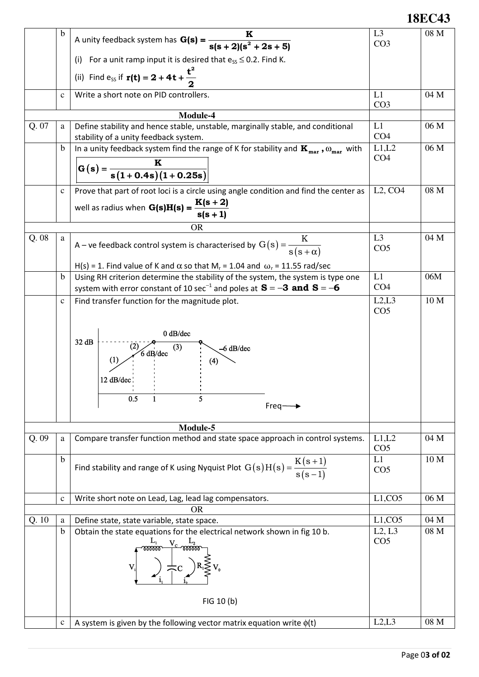|       | $\mathbf b$  | A unity feedback system has $G(s) = \frac{K}{s(s+2)(s^2+2s+5)}$                                                                                                           | L <sub>3</sub><br>CO <sub>3</sub> | 08 M            |
|-------|--------------|---------------------------------------------------------------------------------------------------------------------------------------------------------------------------|-----------------------------------|-----------------|
|       |              | (i) For a unit ramp input it is desired that $e_{ss} \le 0.2$ . Find K.                                                                                                   |                                   |                 |
|       |              |                                                                                                                                                                           |                                   |                 |
|       |              | (ii) Find $e_{ss}$ if <b>r(t)</b> = 2 + 4t + $\frac{t^2}{2}$                                                                                                              |                                   |                 |
|       | $\mathbf c$  | Write a short note on PID controllers.                                                                                                                                    | L1<br>CO <sub>3</sub>             | 04 M            |
|       |              | Module-4                                                                                                                                                                  |                                   |                 |
| Q. 07 | a            | Define stability and hence stable, unstable, marginally stable, and conditional<br>stability of a unity feedback system.                                                  | L1<br>CO <sub>4</sub>             | 06 M            |
|       | $\mathbf b$  | In a unity feedback system find the range of K for stability and $\mathbf{K}_{\text{max}}$ , $\omega_{\text{max}}$ with                                                   | L1,L2                             | 06 M            |
|       |              | $G(s) = {K \over s(1+0.4s)(1+0.25s)}$                                                                                                                                     | CO <sub>4</sub>                   |                 |
|       | $\mathbf c$  | Prove that part of root loci is a circle using angle condition and find the center as                                                                                     | $L2$ , CO <sub>4</sub>            | 08 M            |
|       |              | well as radius when $G(s)H(s) = \frac{K(s + 2)}{s(s + 1)}$                                                                                                                |                                   |                 |
|       |              | <b>OR</b>                                                                                                                                                                 |                                   |                 |
| Q.08  | a            |                                                                                                                                                                           | L3                                | 04 M            |
|       |              | A – ve feedback control system is characterised by $G(s) = \frac{K}{s(s + \alpha)}$                                                                                       | CO <sub>5</sub>                   |                 |
|       |              | H(s) = 1. Find value of K and $\alpha$ so that M <sub>r</sub> = 1.04 and $\omega_r$ = 11.55 rad/sec                                                                       |                                   |                 |
|       | b            | Using RH criterion determine the stability of the system, the system is type one<br>system with error constant of 10 sec <sup>-1</sup> and poles at $S = -3$ and $S = -6$ | L1<br>CO <sub>4</sub>             | 06M             |
|       | $\mathbf{c}$ | Find transfer function for the magnitude plot.                                                                                                                            | L2, L3                            | 10 M            |
|       |              | $0$ dB/dec<br>32 dB<br>(2) $6 \text{ dB/dec}$ (3)<br>$-6$ dB/dec<br>(4)<br>12 dB/dec<br>0.5<br>$Freq \rightarrow$                                                         |                                   |                 |
|       |              | Module-5                                                                                                                                                                  |                                   |                 |
| Q.09  | a            | Compare transfer function method and state space approach in control systems.                                                                                             | L1,L2<br>CO <sub>5</sub>          | 04 M            |
|       | $\mathbf b$  | Find stability and range of K using Nyquist Plot $G(s)H(s) = \frac{K(s+1)}{s(s-1)}$                                                                                       | L1<br>CO <sub>5</sub>             | 10 <sub>M</sub> |
|       | $\mathbf c$  | Write short note on Lead, Lag, lead lag compensators.                                                                                                                     | L1, CO5                           | 06 M            |
|       |              | <b>OR</b>                                                                                                                                                                 |                                   |                 |
| Q. 10 | a            | Define state, state variable, state space.                                                                                                                                | L1, CO5                           | 04 M            |
|       | $\mathbf b$  | Obtain the state equations for the electrical network shown in fig 10 b.                                                                                                  | L2, L3                            | 08 M            |
|       |              | FIG 10 (b)                                                                                                                                                                | CO <sub>5</sub>                   |                 |
|       |              |                                                                                                                                                                           |                                   |                 |
|       | $\mathbf c$  | A system is given by the following vector matrix equation write $\phi(t)$                                                                                                 | L2, L3                            | 08 M            |